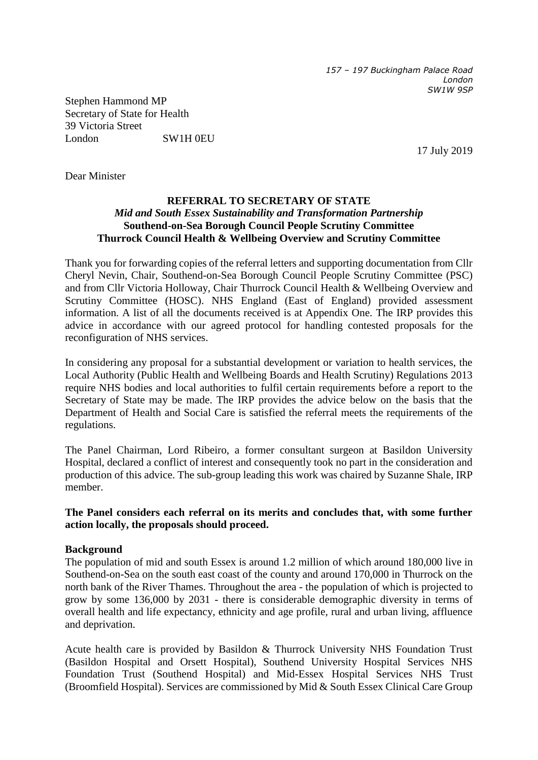*157 – 197 Buckingham Palace Road London SW1W 9SP*

Stephen Hammond MP Secretary of State for Health 39 Victoria Street London SW1H 0EU

17 July 2019

Dear Minister

## **REFERRAL TO SECRETARY OF STATE** *Mid and South Essex Sustainability and Transformation Partnership*  **Southend-on-Sea Borough Council People Scrutiny Committee Thurrock Council Health & Wellbeing Overview and Scrutiny Committee**

Thank you for forwarding copies of the referral letters and supporting documentation from Cllr Cheryl Nevin, Chair, Southend-on-Sea Borough Council People Scrutiny Committee (PSC) and from Cllr Victoria Holloway, Chair Thurrock Council Health & Wellbeing Overview and Scrutiny Committee (HOSC). NHS England (East of England) provided assessment information. A list of all the documents received is at Appendix One. The IRP provides this advice in accordance with our agreed protocol for handling contested proposals for the reconfiguration of NHS services.

In considering any proposal for a substantial development or variation to health services, the Local Authority (Public Health and Wellbeing Boards and Health Scrutiny) Regulations 2013 require NHS bodies and local authorities to fulfil certain requirements before a report to the Secretary of State may be made. The IRP provides the advice below on the basis that the Department of Health and Social Care is satisfied the referral meets the requirements of the regulations.

The Panel Chairman, Lord Ribeiro, a former consultant surgeon at Basildon University Hospital, declared a conflict of interest and consequently took no part in the consideration and production of this advice. The sub-group leading this work was chaired by Suzanne Shale, IRP member.

**The Panel considers each referral on its merits and concludes that, with some further action locally, the proposals should proceed.** 

### **Background**

The population of mid and south Essex is around 1.2 million of which around 180,000 live in Southend-on-Sea on the south east coast of the county and around 170,000 in Thurrock on the north bank of the River Thames. Throughout the area - the population of which is projected to grow by some 136,000 by 2031 - there is considerable demographic diversity in terms of overall health and life expectancy, ethnicity and age profile, rural and urban living, affluence and deprivation.

Acute health care is provided by Basildon & Thurrock University NHS Foundation Trust (Basildon Hospital and Orsett Hospital), Southend University Hospital Services NHS Foundation Trust (Southend Hospital) and Mid-Essex Hospital Services NHS Trust (Broomfield Hospital). Services are commissioned by Mid & South Essex Clinical Care Group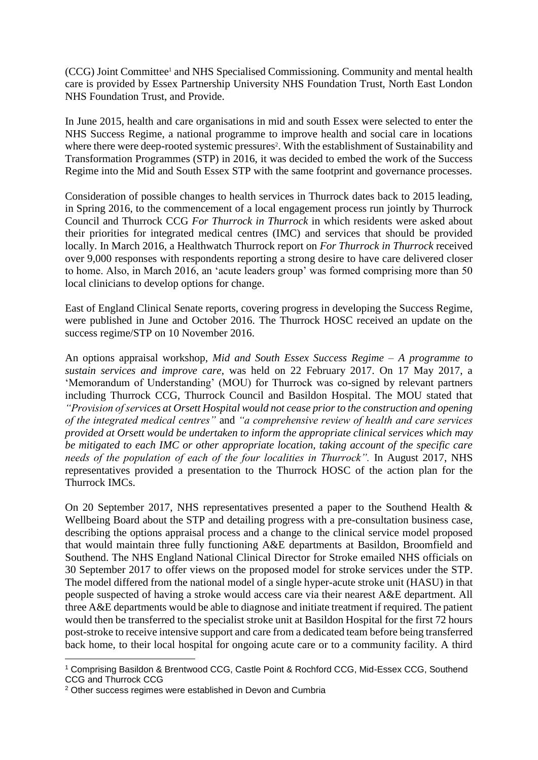(CCG) Joint Committee<sup>1</sup> and NHS Specialised Commissioning. Community and mental health care is provided by Essex Partnership University NHS Foundation Trust, North East London NHS Foundation Trust, and Provide.

In June 2015, health and care organisations in mid and south Essex were selected to enter the NHS Success Regime, a national programme to improve health and social care in locations where there were deep-rooted systemic pressures<sup>2</sup>. With the establishment of Sustainability and Transformation Programmes (STP) in 2016, it was decided to embed the work of the Success Regime into the Mid and South Essex STP with the same footprint and governance processes.

Consideration of possible changes to health services in Thurrock dates back to 2015 leading, in Spring 2016, to the commencement of a local engagement process run jointly by Thurrock Council and Thurrock CCG *For Thurrock in Thurrock* in which residents were asked about their priorities for integrated medical centres (IMC) and services that should be provided locally. In March 2016, a Healthwatch Thurrock report on *For Thurrock in Thurrock* received over 9,000 responses with respondents reporting a strong desire to have care delivered closer to home. Also, in March 2016, an 'acute leaders group' was formed comprising more than 50 local clinicians to develop options for change.

East of England Clinical Senate reports, covering progress in developing the Success Regime, were published in June and October 2016. The Thurrock HOSC received an update on the success regime/STP on 10 November 2016.

An options appraisal workshop, *Mid and South Essex Success Regime – A programme to sustain services and improve care*, was held on 22 February 2017. On 17 May 2017, a 'Memorandum of Understanding' (MOU) for Thurrock was co-signed by relevant partners including Thurrock CCG, Thurrock Council and Basildon Hospital. The MOU stated that *"Provision of services at Orsett Hospital would not cease prior to the construction and opening of the integrated medical centres"* and *"a comprehensive review of health and care services provided at Orsett would be undertaken to inform the appropriate clinical services which may be mitigated to each IMC or other appropriate location, taking account of the specific care needs of the population of each of the four localities in Thurrock".* In August 2017, NHS representatives provided a presentation to the Thurrock HOSC of the action plan for the Thurrock IMCs.

On 20 September 2017, NHS representatives presented a paper to the Southend Health & Wellbeing Board about the STP and detailing progress with a pre-consultation business case, describing the options appraisal process and a change to the clinical service model proposed that would maintain three fully functioning A&E departments at Basildon, Broomfield and Southend. The NHS England National Clinical Director for Stroke emailed NHS officials on 30 September 2017 to offer views on the proposed model for stroke services under the STP. The model differed from the national model of a single hyper-acute stroke unit (HASU) in that people suspected of having a stroke would access care via their nearest A&E department. All three A&E departments would be able to diagnose and initiate treatment if required. The patient would then be transferred to the specialist stroke unit at Basildon Hospital for the first 72 hours post-stroke to receive intensive support and care from a dedicated team before being transferred back home, to their local hospital for ongoing acute care or to a community facility. A third

1

<sup>1</sup> Comprising Basildon & Brentwood CCG, Castle Point & Rochford CCG, Mid-Essex CCG, Southend CCG and Thurrock CCG

<sup>2</sup> Other success regimes were established in Devon and Cumbria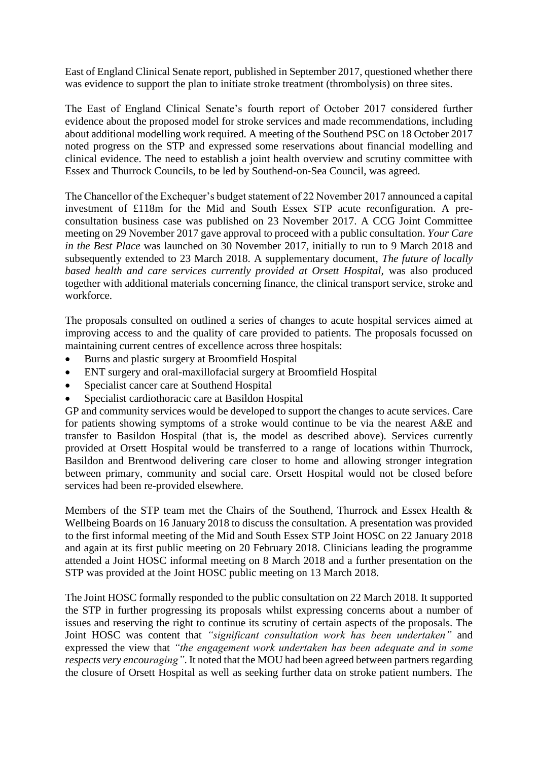East of England Clinical Senate report, published in September 2017, questioned whether there was evidence to support the plan to initiate stroke treatment (thrombolysis) on three sites.

The East of England Clinical Senate's fourth report of October 2017 considered further evidence about the proposed model for stroke services and made recommendations, including about additional modelling work required. A meeting of the Southend PSC on 18 October 2017 noted progress on the STP and expressed some reservations about financial modelling and clinical evidence. The need to establish a joint health overview and scrutiny committee with Essex and Thurrock Councils, to be led by Southend-on-Sea Council, was agreed.

The Chancellor of the Exchequer's budget statement of 22 November 2017 announced a capital investment of £118m for the Mid and South Essex STP acute reconfiguration. A preconsultation business case was published on 23 November 2017. A CCG Joint Committee meeting on 29 November 2017 gave approval to proceed with a public consultation. *Your Care in the Best Place* was launched on 30 November 2017, initially to run to 9 March 2018 and subsequently extended to 23 March 2018. A supplementary document, *The future of locally*  based health and care services currently provided at Orsett Hospital, was also produced together with additional materials concerning finance, the clinical transport service, stroke and workforce.

The proposals consulted on outlined a series of changes to acute hospital services aimed at improving access to and the quality of care provided to patients. The proposals focussed on maintaining current centres of excellence across three hospitals:

- Burns and plastic surgery at Broomfield Hospital
- ENT surgery and oral-maxillofacial surgery at Broomfield Hospital
- Specialist cancer care at Southend Hospital
- Specialist cardiothoracic care at Basildon Hospital

GP and community services would be developed to support the changes to acute services. Care for patients showing symptoms of a stroke would continue to be via the nearest A&E and transfer to Basildon Hospital (that is, the model as described above). Services currently provided at Orsett Hospital would be transferred to a range of locations within Thurrock, Basildon and Brentwood delivering care closer to home and allowing stronger integration between primary, community and social care. Orsett Hospital would not be closed before services had been re-provided elsewhere.

Members of the STP team met the Chairs of the Southend, Thurrock and Essex Health & Wellbeing Boards on 16 January 2018 to discuss the consultation. A presentation was provided to the first informal meeting of the Mid and South Essex STP Joint HOSC on 22 January 2018 and again at its first public meeting on 20 February 2018. Clinicians leading the programme attended a Joint HOSC informal meeting on 8 March 2018 and a further presentation on the STP was provided at the Joint HOSC public meeting on 13 March 2018.

The Joint HOSC formally responded to the public consultation on 22 March 2018. It supported the STP in further progressing its proposals whilst expressing concerns about a number of issues and reserving the right to continue its scrutiny of certain aspects of the proposals. The Joint HOSC was content that *"significant consultation work has been undertaken"* and expressed the view that *"the engagement work undertaken has been adequate and in some respects very encouraging"*. It noted that the MOU had been agreed between partners regarding the closure of Orsett Hospital as well as seeking further data on stroke patient numbers. The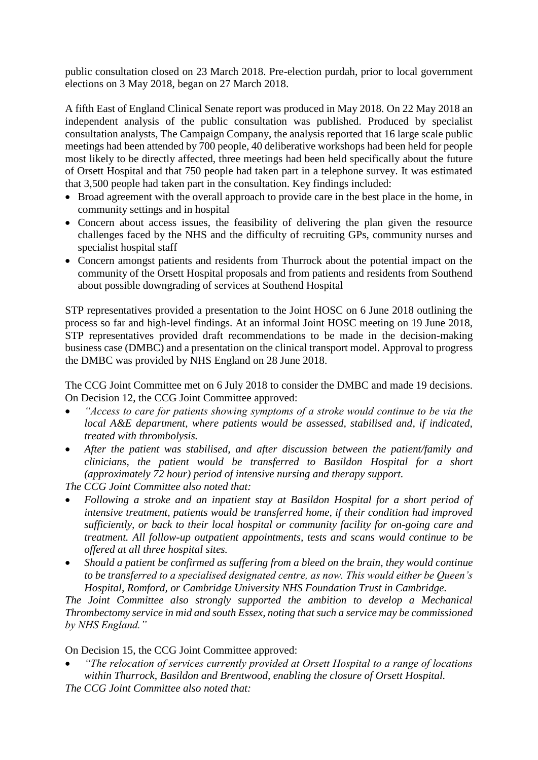public consultation closed on 23 March 2018. Pre-election purdah, prior to local government elections on 3 May 2018, began on 27 March 2018.

A fifth East of England Clinical Senate report was produced in May 2018. On 22 May 2018 an independent analysis of the public consultation was published. Produced by specialist consultation analysts, The Campaign Company, the analysis reported that 16 large scale public meetings had been attended by 700 people, 40 deliberative workshops had been held for people most likely to be directly affected, three meetings had been held specifically about the future of Orsett Hospital and that 750 people had taken part in a telephone survey. It was estimated that 3,500 people had taken part in the consultation. Key findings included:

- Broad agreement with the overall approach to provide care in the best place in the home, in community settings and in hospital
- Concern about access issues, the feasibility of delivering the plan given the resource challenges faced by the NHS and the difficulty of recruiting GPs, community nurses and specialist hospital staff
- Concern amongst patients and residents from Thurrock about the potential impact on the community of the Orsett Hospital proposals and from patients and residents from Southend about possible downgrading of services at Southend Hospital

STP representatives provided a presentation to the Joint HOSC on 6 June 2018 outlining the process so far and high-level findings. At an informal Joint HOSC meeting on 19 June 2018, STP representatives provided draft recommendations to be made in the decision-making business case (DMBC) and a presentation on the clinical transport model. Approval to progress the DMBC was provided by NHS England on 28 June 2018.

The CCG Joint Committee met on 6 July 2018 to consider the DMBC and made 19 decisions. On Decision 12, the CCG Joint Committee approved:

- *"Access to care for patients showing symptoms of a stroke would continue to be via the local A&E department, where patients would be assessed, stabilised and, if indicated, treated with thrombolysis.*
- *After the patient was stabilised, and after discussion between the patient/family and clinicians, the patient would be transferred to Basildon Hospital for a short (approximately 72 hour) period of intensive nursing and therapy support.*

*The CCG Joint Committee also noted that:*

- *Following a stroke and an inpatient stay at Basildon Hospital for a short period of intensive treatment, patients would be transferred home, if their condition had improved sufficiently, or back to their local hospital or community facility for on-going care and treatment. All follow-up outpatient appointments, tests and scans would continue to be offered at all three hospital sites.*
- *Should a patient be confirmed as suffering from a bleed on the brain, they would continue to be transferred to a specialised designated centre, as now. This would either be Queen's Hospital, Romford, or Cambridge University NHS Foundation Trust in Cambridge.*

*The Joint Committee also strongly supported the ambition to develop a Mechanical Thrombectomy service in mid and south Essex, noting that such a service may be commissioned by NHS England."*

On Decision 15, the CCG Joint Committee approved:

• *"The relocation of services currently provided at Orsett Hospital to a range of locations within Thurrock, Basildon and Brentwood, enabling the closure of Orsett Hospital. The CCG Joint Committee also noted that:*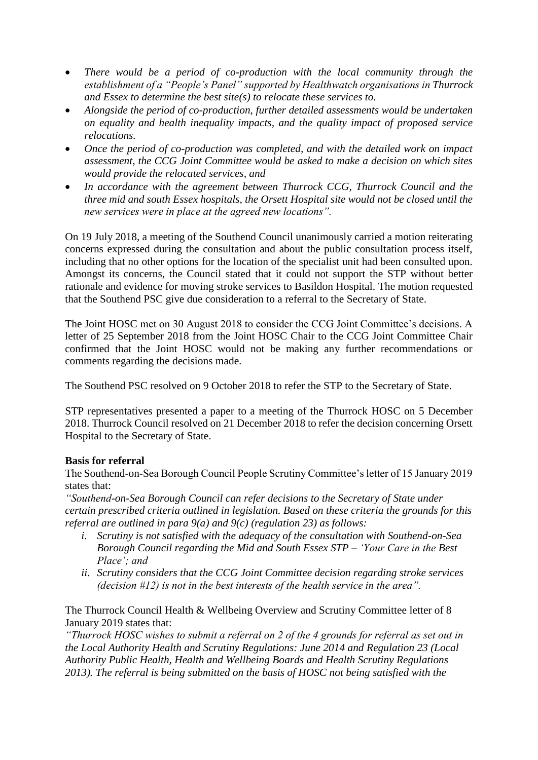- *There would be a period of co-production with the local community through the establishment of a "People's Panel" supported by Healthwatch organisations in Thurrock and Essex to determine the best site(s) to relocate these services to.*
- *Alongside the period of co-production, further detailed assessments would be undertaken on equality and health inequality impacts, and the quality impact of proposed service relocations.*
- *Once the period of co-production was completed, and with the detailed work on impact assessment, the CCG Joint Committee would be asked to make a decision on which sites would provide the relocated services, and*
- *In accordance with the agreement between Thurrock CCG, Thurrock Council and the three mid and south Essex hospitals, the Orsett Hospital site would not be closed until the new services were in place at the agreed new locations".*

On 19 July 2018, a meeting of the Southend Council unanimously carried a motion reiterating concerns expressed during the consultation and about the public consultation process itself, including that no other options for the location of the specialist unit had been consulted upon. Amongst its concerns, the Council stated that it could not support the STP without better rationale and evidence for moving stroke services to Basildon Hospital. The motion requested that the Southend PSC give due consideration to a referral to the Secretary of State.

The Joint HOSC met on 30 August 2018 to consider the CCG Joint Committee's decisions. A letter of 25 September 2018 from the Joint HOSC Chair to the CCG Joint Committee Chair confirmed that the Joint HOSC would not be making any further recommendations or comments regarding the decisions made.

The Southend PSC resolved on 9 October 2018 to refer the STP to the Secretary of State.

STP representatives presented a paper to a meeting of the Thurrock HOSC on 5 December 2018. Thurrock Council resolved on 21 December 2018 to refer the decision concerning Orsett Hospital to the Secretary of State.

# **Basis for referral**

The Southend-on-Sea Borough Council People Scrutiny Committee's letter of 15 January 2019 states that:

*"Southend-on-Sea Borough Council can refer decisions to the Secretary of State under certain prescribed criteria outlined in legislation. Based on these criteria the grounds for this referral are outlined in para 9(a) and 9(c) (regulation 23) as follows:*

- *i. Scrutiny is not satisfied with the adequacy of the consultation with Southend-on-Sea Borough Council regarding the Mid and South Essex STP – 'Your Care in the Best Place'; and*
- *ii. Scrutiny considers that the CCG Joint Committee decision regarding stroke services (decision #12) is not in the best interests of the health service in the area".*

The Thurrock Council Health & Wellbeing Overview and Scrutiny Committee letter of 8 January 2019 states that:

*"Thurrock HOSC wishes to submit a referral on 2 of the 4 grounds for referral as set out in the Local Authority Health and Scrutiny Regulations: June 2014 and Regulation 23 (Local Authority Public Health, Health and Wellbeing Boards and Health Scrutiny Regulations 2013). The referral is being submitted on the basis of HOSC not being satisfied with the*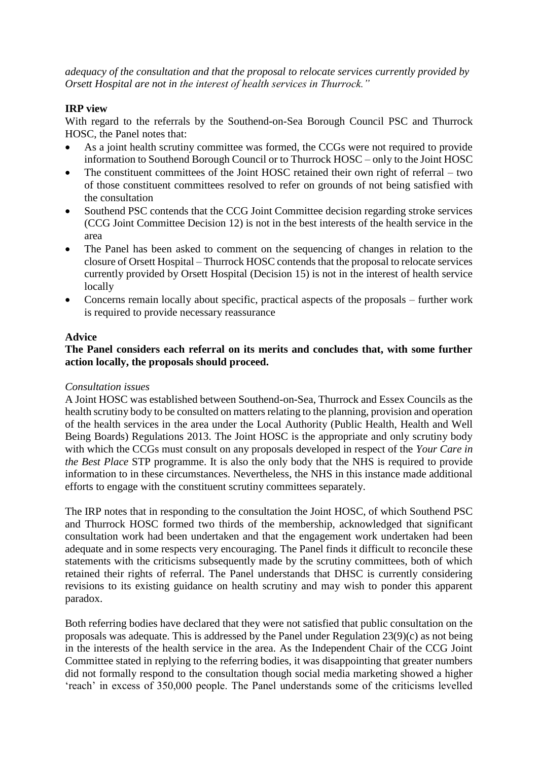*adequacy of the consultation and that the proposal to relocate services currently provided by Orsett Hospital are not in the interest of health services in Thurrock."*

## **IRP view**

With regard to the referrals by the Southend-on-Sea Borough Council PSC and Thurrock HOSC, the Panel notes that:

- As a joint health scrutiny committee was formed, the CCGs were not required to provide information to Southend Borough Council or to Thurrock HOSC – only to the Joint HOSC
- The constituent committees of the Joint HOSC retained their own right of referral two of those constituent committees resolved to refer on grounds of not being satisfied with the consultation
- Southend PSC contends that the CCG Joint Committee decision regarding stroke services (CCG Joint Committee Decision 12) is not in the best interests of the health service in the area
- The Panel has been asked to comment on the sequencing of changes in relation to the closure of Orsett Hospital – Thurrock HOSC contends that the proposal to relocate services currently provided by Orsett Hospital (Decision 15) is not in the interest of health service locally
- Concerns remain locally about specific, practical aspects of the proposals further work is required to provide necessary reassurance

#### **Advice**

## **The Panel considers each referral on its merits and concludes that, with some further action locally, the proposals should proceed.**

### *Consultation issues*

A Joint HOSC was established between Southend-on-Sea, Thurrock and Essex Councils as the health scrutiny body to be consulted on matters relating to the planning, provision and operation of the health services in the area under the Local Authority (Public Health, Health and Well Being Boards) Regulations 2013. The Joint HOSC is the appropriate and only scrutiny body with which the CCGs must consult on any proposals developed in respect of the *Your Care in the Best Place* STP programme. It is also the only body that the NHS is required to provide information to in these circumstances. Nevertheless, the NHS in this instance made additional efforts to engage with the constituent scrutiny committees separately.

The IRP notes that in responding to the consultation the Joint HOSC, of which Southend PSC and Thurrock HOSC formed two thirds of the membership, acknowledged that significant consultation work had been undertaken and that the engagement work undertaken had been adequate and in some respects very encouraging. The Panel finds it difficult to reconcile these statements with the criticisms subsequently made by the scrutiny committees, both of which retained their rights of referral. The Panel understands that DHSC is currently considering revisions to its existing guidance on health scrutiny and may wish to ponder this apparent paradox.

Both referring bodies have declared that they were not satisfied that public consultation on the proposals was adequate. This is addressed by the Panel under Regulation 23(9)(c) as not being in the interests of the health service in the area. As the Independent Chair of the CCG Joint Committee stated in replying to the referring bodies, it was disappointing that greater numbers did not formally respond to the consultation though social media marketing showed a higher 'reach' in excess of 350,000 people. The Panel understands some of the criticisms levelled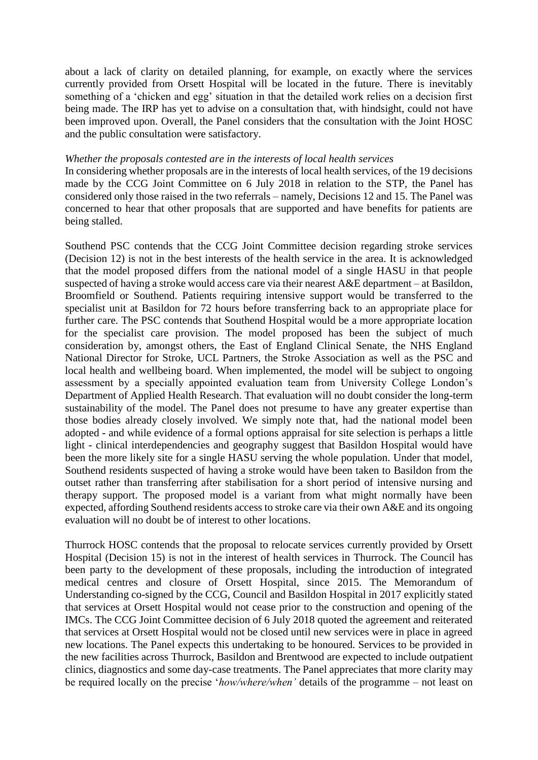about a lack of clarity on detailed planning, for example, on exactly where the services currently provided from Orsett Hospital will be located in the future. There is inevitably something of a 'chicken and egg' situation in that the detailed work relies on a decision first being made. The IRP has yet to advise on a consultation that, with hindsight, could not have been improved upon. Overall, the Panel considers that the consultation with the Joint HOSC and the public consultation were satisfactory.

#### *Whether the proposals contested are in the interests of local health services*

In considering whether proposals are in the interests of local health services, of the 19 decisions made by the CCG Joint Committee on 6 July 2018 in relation to the STP, the Panel has considered only those raised in the two referrals – namely, Decisions 12 and 15. The Panel was concerned to hear that other proposals that are supported and have benefits for patients are being stalled.

Southend PSC contends that the CCG Joint Committee decision regarding stroke services (Decision 12) is not in the best interests of the health service in the area. It is acknowledged that the model proposed differs from the national model of a single HASU in that people suspected of having a stroke would access care via their nearest A&E department – at Basildon, Broomfield or Southend. Patients requiring intensive support would be transferred to the specialist unit at Basildon for 72 hours before transferring back to an appropriate place for further care. The PSC contends that Southend Hospital would be a more appropriate location for the specialist care provision. The model proposed has been the subject of much consideration by, amongst others, the East of England Clinical Senate, the NHS England National Director for Stroke, UCL Partners, the Stroke Association as well as the PSC and local health and wellbeing board. When implemented, the model will be subject to ongoing assessment by a specially appointed evaluation team from University College London's Department of Applied Health Research. That evaluation will no doubt consider the long-term sustainability of the model. The Panel does not presume to have any greater expertise than those bodies already closely involved. We simply note that, had the national model been adopted - and while evidence of a formal options appraisal for site selection is perhaps a little light - clinical interdependencies and geography suggest that Basildon Hospital would have been the more likely site for a single HASU serving the whole population. Under that model, Southend residents suspected of having a stroke would have been taken to Basildon from the outset rather than transferring after stabilisation for a short period of intensive nursing and therapy support. The proposed model is a variant from what might normally have been expected, affording Southend residents access to stroke care via their own A&E and its ongoing evaluation will no doubt be of interest to other locations.

Thurrock HOSC contends that the proposal to relocate services currently provided by Orsett Hospital (Decision 15) is not in the interest of health services in Thurrock. The Council has been party to the development of these proposals, including the introduction of integrated medical centres and closure of Orsett Hospital, since 2015. The Memorandum of Understanding co-signed by the CCG, Council and Basildon Hospital in 2017 explicitly stated that services at Orsett Hospital would not cease prior to the construction and opening of the IMCs. The CCG Joint Committee decision of 6 July 2018 quoted the agreement and reiterated that services at Orsett Hospital would not be closed until new services were in place in agreed new locations. The Panel expects this undertaking to be honoured. Services to be provided in the new facilities across Thurrock, Basildon and Brentwood are expected to include outpatient clinics, diagnostics and some day-case treatments. The Panel appreciates that more clarity may be required locally on the precise '*how/where/when'* details of the programme – not least on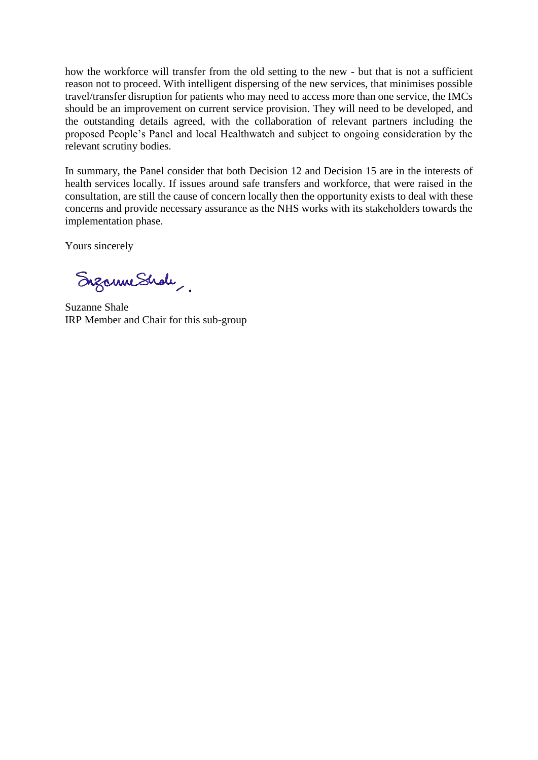how the workforce will transfer from the old setting to the new - but that is not a sufficient reason not to proceed. With intelligent dispersing of the new services, that minimises possible travel/transfer disruption for patients who may need to access more than one service, the IMCs should be an improvement on current service provision. They will need to be developed, and the outstanding details agreed, with the collaboration of relevant partners including the proposed People's Panel and local Healthwatch and subject to ongoing consideration by the relevant scrutiny bodies.

In summary, the Panel consider that both Decision 12 and Decision 15 are in the interests of health services locally. If issues around safe transfers and workforce, that were raised in the consultation, are still the cause of concern locally then the opportunity exists to deal with these concerns and provide necessary assurance as the NHS works with its stakeholders towards the implementation phase.

Yours sincerely

Enzanne Shole

Suzanne Shale IRP Member and Chair for this sub-group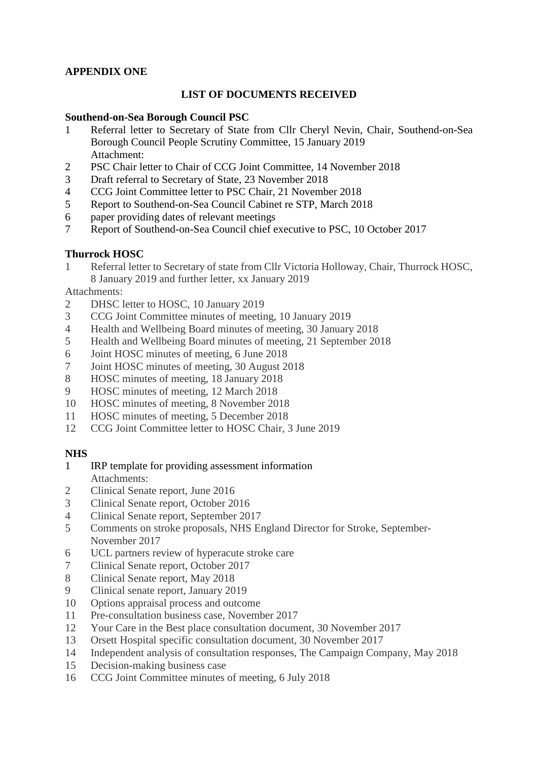# **APPENDIX ONE**

## **LIST OF DOCUMENTS RECEIVED**

### **Southend-on-Sea Borough Council PSC**

- Referral letter to Secretary of State from Cllr Cheryl Nevin, Chair, Southend-on-Sea Borough Council People Scrutiny Committee, 15 January 2019 Attachment:
- PSC Chair letter to Chair of CCG Joint Committee, 14 November 2018
- Draft referral to Secretary of State, 23 November 2018
- CCG Joint Committee letter to PSC Chair, 21 November 2018
- Report to Southend-on-Sea Council Cabinet re STP, March 2018
- paper providing dates of relevant meetings
- Report of Southend-on-Sea Council chief executive to PSC, 10 October 2017

## **Thurrock HOSC**

 Referral letter to Secretary of state from Cllr Victoria Holloway, Chair, Thurrock HOSC, 8 January 2019 and further letter, xx January 2019

Attachments:

- 2 DHSC letter to HOSC, 10 January 2019
- CCG Joint Committee minutes of meeting, 10 January 2019
- Health and Wellbeing Board minutes of meeting, 30 January 2018
- Health and Wellbeing Board minutes of meeting, 21 September 2018
- Joint HOSC minutes of meeting, 6 June 2018
- Joint HOSC minutes of meeting, 30 August 2018
- HOSC minutes of meeting, 18 January 2018
- HOSC minutes of meeting, 12 March 2018
- HOSC minutes of meeting, 8 November 2018
- HOSC minutes of meeting, 5 December 2018
- CCG Joint Committee letter to HOSC Chair, 3 June 2019

# **NHS**

- IRP template for providing assessment information Attachments:
- 2 Clinical Senate report, June 2016
- Clinical Senate report, October 2016
- Clinical Senate report, September 2017
- Comments on stroke proposals, NHS England Director for Stroke, September-November 2017
- UCL partners review of hyperacute stroke care
- Clinical Senate report, October 2017
- Clinical Senate report, May 2018
- Clinical senate report, January 2019
- Options appraisal process and outcome
- Pre-consultation business case, November 2017
- Your Care in the Best place consultation document, 30 November 2017
- Orsett Hospital specific consultation document, 30 November 2017
- Independent analysis of consultation responses, The Campaign Company, May 2018
- Decision-making business case
- CCG Joint Committee minutes of meeting, 6 July 2018